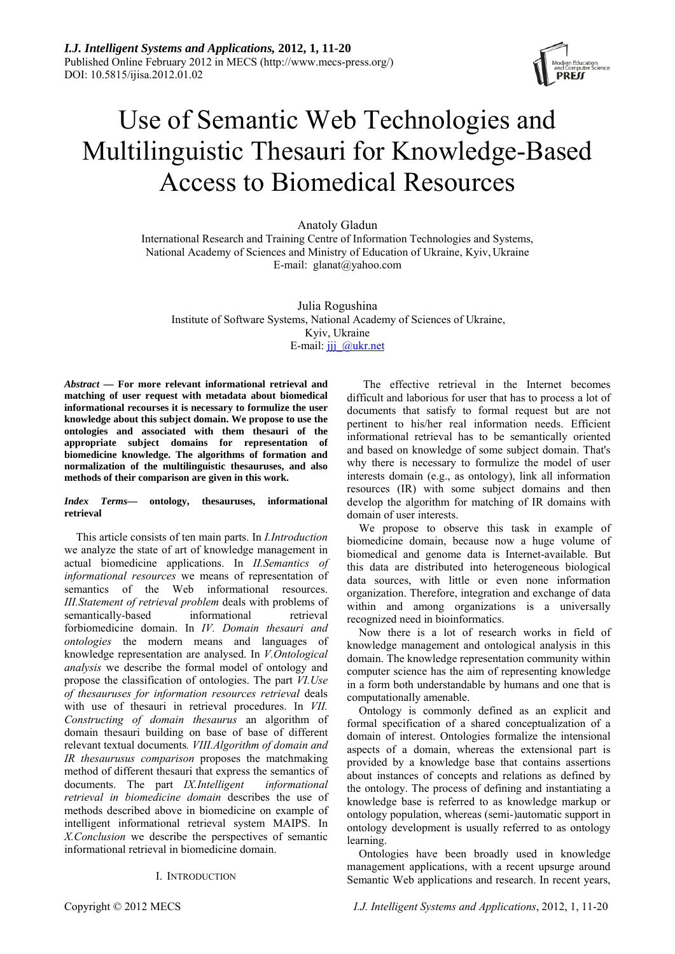

# Use of Semantic Web Technologies and Multilinguistic Thesauri for Knowledge-Based Access to Biomedical Resources

Anatoly Gladun

International Research and Training Centre of Information Technologies and Systems, National Academy of Sciences and Ministry of Education of Ukraine, Kyiv, Ukraine E-mail: [glanat@yahoo.com](mailto:glanat@yahoo.com)

Julia Rogushina Institute of Software Systems, National Academy of Sciences of Ukraine, Kyiv, Ukraine E-mail: jjj @ukr.net

*Abstract —* **For more relevant informational retrieval and matching of user request with metadata about biomedical informational recourses it is necessary to formulize the user knowledge about this subject domain. We propose to use the ontologies and associated with them thesauri of the appropriate subject domains for representation of biomedicine knowledge. The algorithms of formation and normalization of the multilinguistic thesauruses, and also methods of their comparison are given in this work.**

#### *Index Terms***— ontology, thesauruses, informational retrieval**

This article consists of ten main parts. In *I.Introduction* we analyze the state of art of knowledge management in actual biomedicine applications. In *II.Semantics of informational resources* we means of representation of semantics of the Web informational resources. *III.Statement of retrieval problem* deals with problems of semantically-based informational retrieval forbiomedicine domain. In *IV. Domain thesauri and ontologies* the modern means and languages of knowledge representation are analysed. In *V.Ontological analysis* we describe the formal model of ontology and propose the classification of ontologies. The part *VI.Use of thesauruses for information resources retrieval* deals with use of thesauri in retrieval procedures. In *VII. Constructing of domain thesaurus* an algorithm of domain thesauri building on base of base of different relevant textual documents*. VIII.Algorithm of domain and IR thesaurusus comparison* proposes the matchmaking method of different thesauri that express the semantics of documents. The part *IX.Intelligent informational retrieval in biomedicine domain* describes the use of methods described above in biomedicine on example of intelligent informational retrieval system MAIPS. In *X.Conclusion* we describe the perspectives of semantic informational retrieval in biomedicine domain.

## I. INTRODUCTION

The effective retrieval in the Internet becomes difficult and laborious for user that has to process a lot of documents that satisfy to formal request but are not pertinent to his/her real information needs. Efficient informational retrieval has to be semantically oriented and based on knowledge of some subject domain. That's why there is necessary to formulize the model of user interests domain (e.g., as ontology), link all information resources (IR) with some subject domains and then develop the algorithm for matching of IR domains with domain of user interests.

We propose to observe this task in example of biomedicine domain, because now a huge volume of biomedical and genome data is Internet-available. But this data are distributed into heterogeneous biological data sources, with little or even none information organization. Therefore, integration and exchange of data within and among organizations is a universally recognized need in bioinformatics.

Now there is a lot of research works in field of knowledge management and ontological analysis in this domain. The knowledge representation community within computer science has the aim of representing knowledge in a form both understandable by humans and one that is computationally amenable.

Ontology is commonly defined as an explicit and formal specification of a shared conceptualization of a domain of interest. Ontologies formalize the intensional aspects of a domain, whereas the extensional part is provided by a knowledge base that contains assertions about instances of concepts and relations as defined by the ontology. The process of defining and instantiating a knowledge base is referred to as knowledge markup or ontology population, whereas (semi-)automatic support in ontology development is usually referred to as ontology learning.

Ontologies have been broadly used in knowledge management applications, with a recent upsurge around Semantic Web applications and research. In recent years,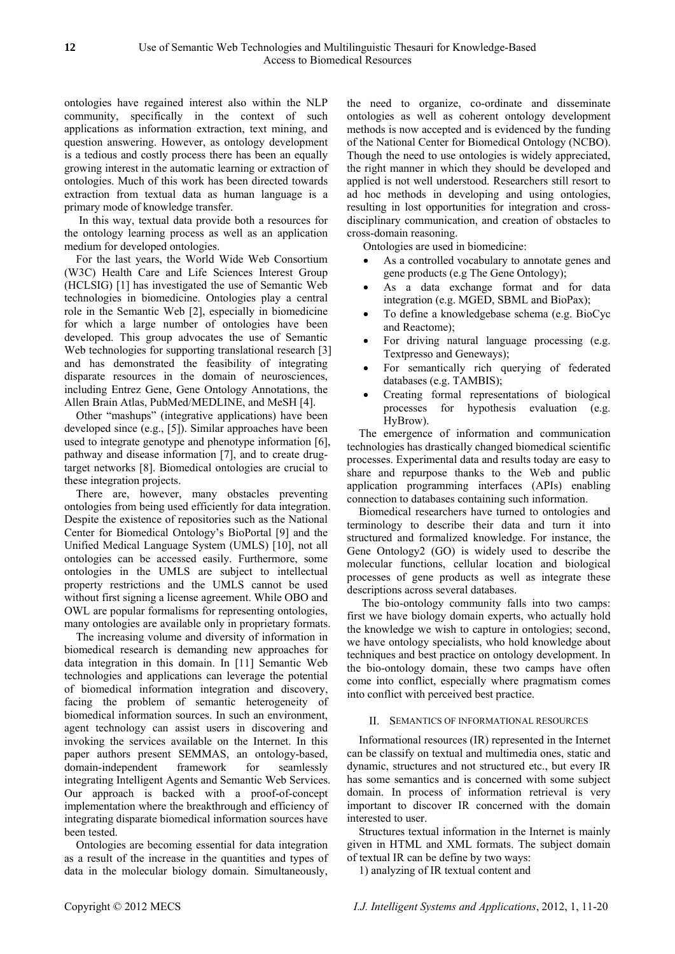ontologies have regained interest also within the NLP community, specifically in the context of such applications as information extraction, text mining, and question answering. However, as ontology development is a tedious and costly process there has been an equally growing interest in the automatic learning or extraction of ontologies. Much of this work has been directed towards extraction from textual data as human language is a primary mode of knowledge transfer.

 In this way, textual data provide both a resources for the ontology learning process as well as an application medium for developed ontologies.

For the last years, the World Wide Web Consortium (W3C) Health Care and Life Sciences Interest Group (HCLSIG) [1] has investigated the use of Semantic Web technologies in biomedicine. Ontologies play a central role in the Semantic Web [2], especially in biomedicine for which a large number of ontologies have been developed. This group advocates the use of Semantic Web technologies for supporting translational research [3] and has demonstrated the feasibility of integrating disparate resources in the domain of neurosciences, including Entrez Gene, Gene Ontology Annotations, the Allen Brain Atlas, PubMed/MEDLINE, and MeSH [4].

Other "mashups" (integrative applications) have been developed since (e.g., [5]). Similar approaches have been used to integrate genotype and phenotype information [6], pathway and disease information [7], and to create drugtarget networks [8]. Biomedical ontologies are crucial to these integration projects.

There are, however, many obstacles preventing ontologies from being used efficiently for data integration. Despite the existence of repositories such as the National Center for Biomedical Ontology's BioPortal [9] and the Unified Medical Language System (UMLS) [10], not all ontologies can be accessed easily. Furthermore, some ontologies in the UMLS are subject to intellectual property restrictions and the UMLS cannot be used without first signing a license agreement. While OBO and OWL are popular formalisms for representing ontologies, many ontologies are available only in proprietary formats.

The increasing volume and diversity of information in biomedical research is demanding new approaches for data integration in this domain. In [11] Semantic Web technologies and applications can leverage the potential of biomedical information integration and discovery, facing the problem of semantic heterogeneity of biomedical information sources. In such an environment, agent technology can assist users in discovering and invoking the services available on the Internet. In this paper authors present SEMMAS, an ontology-based, domain-independent framework for seamlessly integrating Intelligent Agents and Semantic Web Services. Our approach is backed with a proof-of-concept implementation where the breakthrough and efficiency of integrating disparate biomedical information sources have been tested.

Ontologies are becoming essential for data integration as a result of the increase in the quantities and types of data in the molecular biology domain. Simultaneously,

the need to organize, co-ordinate and disseminate ontologies as well as coherent ontology development methods is now accepted and is evidenced by the funding of the National Center for Biomedical Ontology (NCBO). Though the need to use ontologies is widely appreciated, the right manner in which they should be developed and applied is not well understood. Researchers still resort to ad hoc methods in developing and using ontologies, resulting in lost opportunities for integration and crossdisciplinary communication, and creation of obstacles to cross-domain reasoning.

Ontologies are used in biomedicine:

- As a controlled vocabulary to annotate genes and gene products (e.g The Gene Ontology);
- As a data exchange format and for data integration (e.g. MGED, SBML and BioPax);
- To define a knowledgebase schema (e.g. BioCyc and Reactome);
- For driving natural language processing (e.g. Textpresso and Geneways);
- For semantically rich querying of federated databases (e.g. TAMBIS);
- Creating formal representations of biological processes for hypothesis evaluation (e.g. HyBrow).

The emergence of information and communication technologies has drastically changed biomedical scientific processes. Experimental data and results today are easy to share and repurpose thanks to the Web and public application programming interfaces (APIs) enabling connection to databases containing such information.

Biomedical researchers have turned to ontologies and terminology to describe their data and turn it into structured and formalized knowledge. For instance, the Gene Ontology2 (GO) is widely used to describe the molecular functions, cellular location and biological processes of gene products as well as integrate these descriptions across several databases.

 The bio-ontology community falls into two camps: first we have biology domain experts, who actually hold the knowledge we wish to capture in ontologies; second, we have ontology specialists, who hold knowledge about techniques and best practice on ontology development. In the bio-ontology domain, these two camps have often come into conflict, especially where pragmatism comes into conflict with perceived best practice.

# II. SEMANTICS OF INFORMATIONAL RESOURCES

Informational resources (IR) represented in the Internet can be classify on textual and multimedia ones, static and dynamic, structures and not structured etc., but every IR has some semantics and is concerned with some subject domain. In process of information retrieval is very important to discover IR concerned with the domain interested to user.

Structures textual information in the Internet is mainly given in HTML and XML formats. The subject domain of textual IR can be define by two ways:

1) analyzing of IR textual content and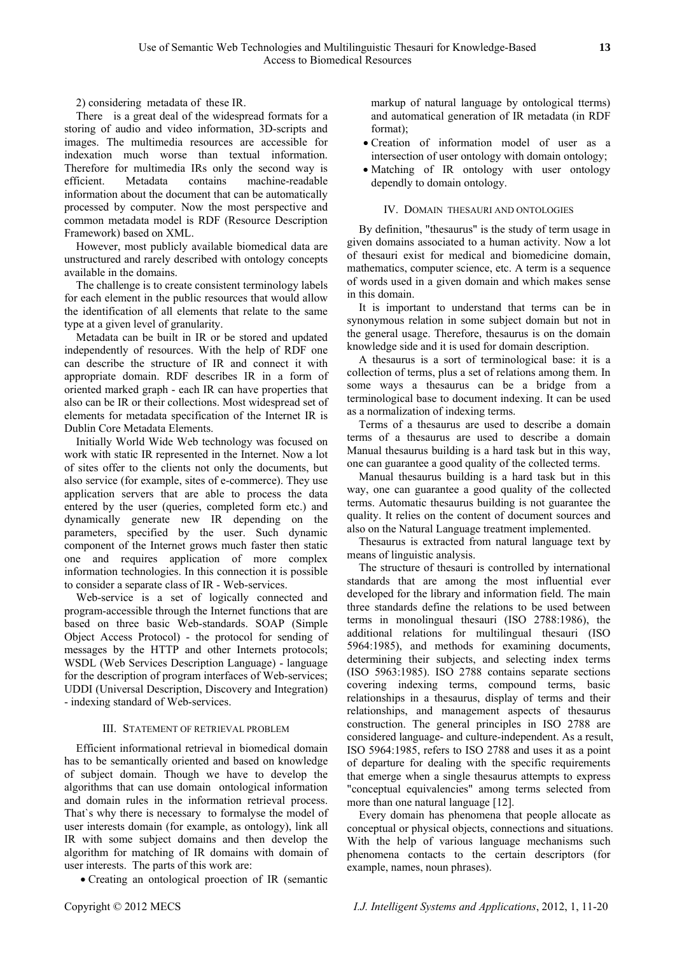2) considering metadata of these IR.

There is a great deal of the widespread formats for a storing of audio and video information, 3D-scripts and images. The multimedia resources are accessible for indexation much worse than textual information. Therefore for multimedia IRs only the second way is efficient. Metadata contains machine-readable information about the document that can be automatically processed by computer. Now the most perspective and common metadata model is RDF (Resource Description Framework) based on XML.

However, most publicly available biomedical data are unstructured and rarely described with ontology concepts available in the domains.

The challenge is to create consistent terminology labels for each element in the public resources that would allow the identification of all elements that relate to the same type at a given level of granularity.

Metadata can be built in IR or be stored and updated independently of resources. With the help of RDF one can describe the structure of IR and connect it with appropriate domain. RDF describes IR in a form of oriented marked graph - each IR can have properties that also can be IR or their collections. Most widespread set of elements for metadata specification of the Internet IR is Dublin Core Metadata Elements.

Initially World Wide Web technology was focused on work with static IR represented in the Internet. Now a lot of sites offer to the clients not only the documents, but also service (for example, sites of e-commerce). They use application servers that are able to process the data entered by the user (queries, completed form etc.) and dynamically generate new IR depending on the parameters, specified by the user. Such dynamic component of the Internet grows much faster then static one and requires application of more complex information technologies. In this connection it is possible to consider a separate class of IR - Web-services.

Web-service is a set of logically connected and program-accessible through the Internet functions that are based on three basic Web-standards. SOAP (Simple Object Access Protocol) - the protocol for sending of messages by the HTTP and other Internets protocols; WSDL (Web Services Description Language) - language for the description of program interfaces of Web-services; UDDI (Universal Description, Discovery and Integration) - indexing standard of Web-services.

## III. STATEMENT OF RETRIEVAL PROBLEM

Efficient informational retrieval in biomedical domain has to be semantically oriented and based on knowledge of subject domain. Though we have to develop the algorithms that can use domain ontological information and domain rules in the information retrieval process. That`s why there is necessary to formalyse the model of user interests domain (for example, as ontology), link all IR with some subject domains and then develop the algorithm for matching of IR domains with domain of user interests. The parts of this work are:

• Creating an ontological proection of IR (semantic

markup of natural language by ontological tterms) and automatical generation of IR metadata (in RDF format);

- Creation of information model of user as a intersection of user ontology with domain ontology;
- Matching of IR ontology with user ontology dependly to domain ontology.

#### IV. DOMAIN THESAURI AND ONTOLOGIES

By definition, "thesaurus" is the study of term usage in given domains associated to a human activity. Now a lot of thesauri exist for medical and biomedicine domain, mathematics, computer science, etc. A term is a sequence of words used in a given domain and which makes sense in this domain.

It is important to understand that terms can be in synonymous relation in some subject domain but not in the general usage. Therefore, thesaurus is on the domain knowledge side and it is used for domain description.

A thesaurus is a sort of terminological base: it is a collection of terms, plus a set of relations among them. In some ways a thesaurus can be a bridge from a terminological base to document indexing. It can be used as a normalization of indexing terms.

Terms of a thesaurus are used to describe a domain terms of a thesaurus are used to describe a domain Manual thesaurus building is a hard task but in this way, one can guarantee a good quality of the collected terms.

Manual thesaurus building is a hard task but in this way, one can guarantee a good quality of the collected terms. Automatic thesaurus building is not guarantee the quality. It relies on the content of document sources and also on the Natural Language treatment implemented.

Thesaurus is extracted from natural language text by means of linguistic analysis.

The structure of thesauri is controlled by international standards that are among the most influential ever developed for the library and information field. The main three standards define the relations to be used between terms in monolingual thesauri (ISO 2788:1986), the additional relations for multilingual thesauri (ISO 5964:1985), and methods for examining documents, determining their subjects, and selecting index terms (ISO 5963:1985). ISO 2788 contains separate sections covering indexing terms, compound terms, basic relationships in a thesaurus, display of terms and their relationships, and management aspects of thesaurus construction. The general principles in ISO 2788 are considered language- and culture-independent. As a result, ISO 5964:1985, refers to ISO 2788 and uses it as a point of departure for dealing with the specific requirements that emerge when a single thesaurus attempts to express "conceptual equivalencies" among terms selected from more than one natural language [12].

Every domain has phenomena that people allocate as conceptual or physical objects, connections and situations. With the help of various language mechanisms such phenomena contacts to the certain descriptors (for example, names, noun phrases).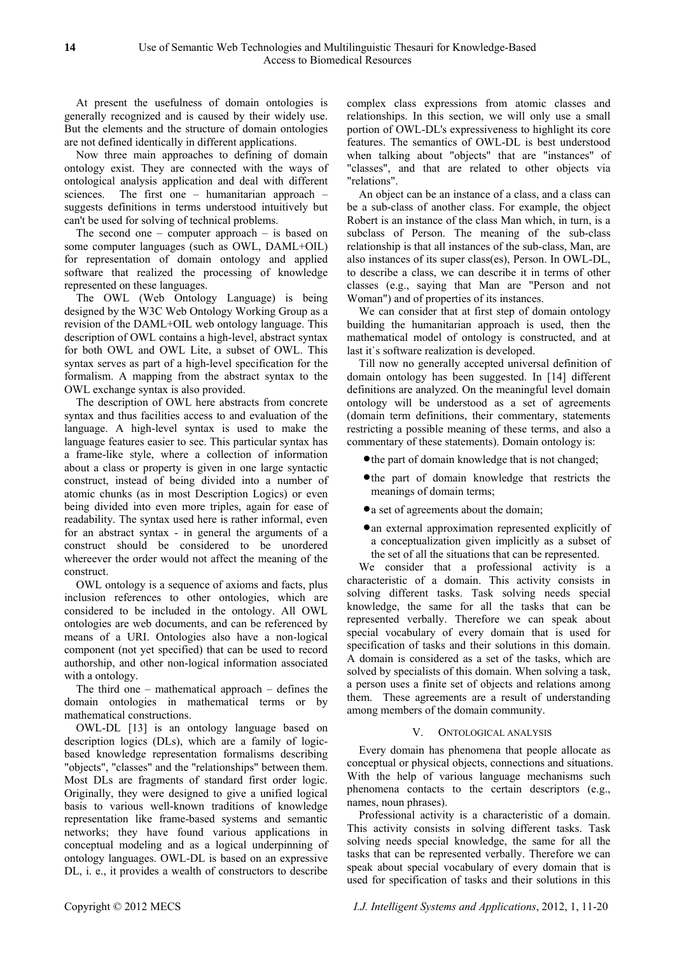At present the usefulness of domain ontologies is generally recognized and is caused by their widely use. But the elements and the structure of domain ontologies are not defined identically in different applications.

Now three main approaches to defining of domain ontology exist. They are connected with the ways of ontological analysis application and deal with different sciences. The first one – humanitarian approach – suggests definitions in terms understood intuitively but can't be used for solving of technical problems.

The second one – computer approach – is based on some computer languages (such as OWL, DAML+OIL) for representation of domain ontology and applied software that realized the processing of knowledge represented on these languages.

The OWL (Web Ontology Language) is being designed by the W3C Web Ontology Working Group as a revision of the DAML+OIL web ontology language. This description of OWL contains a high-level, abstract syntax for both OWL and OWL Lite, a subset of OWL. This syntax serves as part of a high-level specification for the formalism. A mapping from the abstract syntax to the OWL exchange syntax is also provided.

The description of OWL here abstracts from concrete syntax and thus facilities access to and evaluation of the language. A high-level syntax is used to make the language features easier to see. This particular syntax has a frame-like style, where a collection of information about a class or property is given in one large syntactic construct, instead of being divided into a number of atomic chunks (as in most Description Logics) or even being divided into even more triples, again for ease of readability. The syntax used here is rather informal, even for an abstract syntax - in general the arguments of a construct should be considered to be unordered whereever the order would not affect the meaning of the construct.

OWL ontology is a sequence of axioms and facts, plus inclusion references to other ontologies, which are considered to be included in the ontology. All OWL ontologies are web documents, and can be referenced by means of a URI. Ontologies also have a non-logical component (not yet specified) that can be used to record authorship, and other non-logical information associated with a ontology.

The third one – mathematical approach – defines the domain ontologies in mathematical terms or by mathematical constructions.

OWL-DL [13] is an ontology language based on description logics (DLs), which are a family of logicbased knowledge representation formalisms describing "objects", "classes" and the "relationships" between them. Most DLs are fragments of standard first order logic. Originally, they were designed to give a unified logical basis to various well-known traditions of knowledge representation like frame-based systems and semantic networks; they have found various applications in conceptual modeling and as a logical underpinning of ontology languages. OWL-DL is based on an expressive DL, i. e., it provides a wealth of constructors to describe

complex class expressions from atomic classes and relationships. In this section, we will only use a small portion of OWL-DL's expressiveness to highlight its core features. The semantics of OWL-DL is best understood when talking about "objects" that are "instances" of "classes", and that are related to other objects via "relations".

An object can be an instance of a class, and a class can be a sub-class of another class. For example, the object Robert is an instance of the class Man which, in turn, is a subclass of Person. The meaning of the sub-class relationship is that all instances of the sub-class, Man, are also instances of its super class(es), Person. In OWL-DL, to describe a class, we can describe it in terms of other classes (e.g., saying that Man are "Person and not Woman") and of properties of its instances.

We can consider that at first step of domain ontology building the humanitarian approach is used, then the mathematical model of ontology is constructed, and at last it`s software realization is developed.

Till now no generally accepted universal definition of domain ontology has been suggested. In [14] different definitions are analyzed. On the meaningful level domain ontology will be understood as a set of agreements (domain term definitions, their commentary, statements restricting a possible meaning of these terms, and also a commentary of these statements). Domain ontology is:

- the part of domain knowledge that is not changed;
- the part of domain knowledge that restricts the meanings of domain terms;
- a set of agreements about the domain;
- an external approximation represented explicitly of a conceptualization given implicitly as a subset of the set of all the situations that can be represented.

We consider that a professional activity is a characteristic of a domain. This activity consists in solving different tasks. Task solving needs special knowledge, the same for all the tasks that can be represented verbally. Therefore we can speak about special vocabulary of every domain that is used for specification of tasks and their solutions in this domain. A domain is considered as a set of the tasks, which are solved by specialists of this domain. When solving a task, a person uses a finite set of objects and relations among them. These agreements are a result of understanding among members of the domain community.

## V. ONTOLOGICAL ANALYSIS

Every domain has phenomena that people allocate as conceptual or physical objects, connections and situations. With the help of various language mechanisms such phenomena contacts to the certain descriptors (e.g., names, noun phrases).

Professional activity is a characteristic of a domain. This activity consists in solving different tasks. Task solving needs special knowledge, the same for all the tasks that can be represented verbally. Therefore we can speak about special vocabulary of every domain that is used for specification of tasks and their solutions in this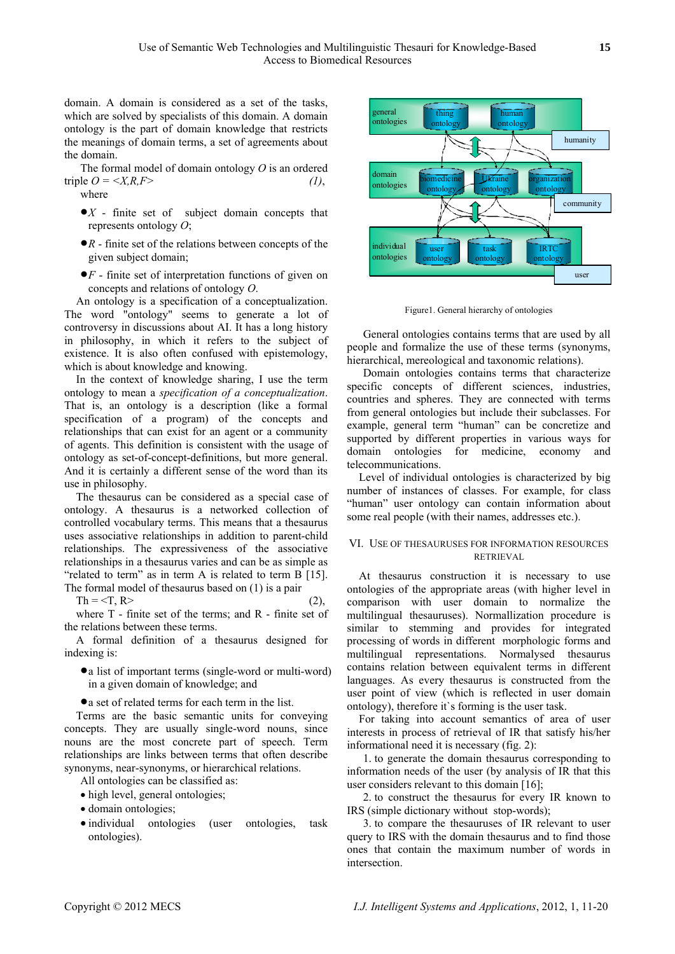domain. A domain is considered as a set of the tasks, which are solved by specialists of this domain. A domain ontology is the part of domain knowledge that restricts the meanings of domain terms, a set of agreements about the domain.

The formal model of domain ontology *O* is an ordered triple  $Q = \langle X, R, F \rangle$  (1), where

- •*Х* finite set of subject domain concepts that represents ontology *O*;
- •*R* finite set of the relations between concepts of the given subject domain;
- •*F* finite set of interpretation functions of given on concepts and relations of ontology *O*.

An ontology is a specification of a conceptualization. The word "ontology" seems to generate a lot of controversy in discussions about AI. It has a long history in philosophy, in which it refers to the subject of existence. It is also often confused with epistemology, which is about knowledge and knowing.

In the context of knowledge sharing, I use the term ontology to mean a *specification of a conceptualization*. That is, an ontology is a description (like a formal specification of a program) of the concepts and relationships that can exist for an agent or a community of agents. This definition is consistent with the usage of ontology as set-of-concept-definitions, but more general. And it is certainly a different sense of the word than its use in philosophy. Level of individual ontologies is characterized by big

The thesaurus can be considered as a special case of ontology. A thesaurus is a networked collection of controlled vocabulary terms. This means that a thesaurus uses associative relationships in addition to parent-child relationships. The expressiveness of the associative relationships in a thesaurus varies and can be as simple as "related to term" as in term A is related to term B [15]. The formal model of thesaurus based on (1) is a pair

 $Th = \langle T, R \rangle$  (2),

where T - finite set of the terms; and R - finite set of the relations between these terms.

A formal definition of a thesaurus designed for indexing is:

• a list of important terms (single-word or multi-word) in a given domain of knowledge; and

• a set of related terms for each term in the list.

Terms are the basic semantic units for conveying concepts. They are usually single-word nouns, since nouns are the most concrete part of speech. Term relationships are links between terms that often describe synonyms, near-synonyms, or hierarchical relations.

All ontologies can be classified as:

- high level, general ontologies;
- domain ontologies;
- individual ontologies (user ontologies, task ontologies).



Figure1. General hierarchy of ontologies

General ontologies contains terms that are used by all people and formalize the use of these terms (synonyms, hierarchical, mereological and taxonomic relations).

Domain ontologies contains terms that characterize specific concepts of different sciences, industries, countries and spheres. They are connected with terms from general ontologies but include their subclasses. For example, general term "human" can be concretize and supported by different properties in various ways for domain ontologies for medicine, economy and telecommunications.

number of instances of classes. For example, for class "human" user ontology can contain information about some real people (with their names, addresses etc.).

# VI. USE OF THESAURUSES FOR INFORMATION RESOURCES RETRIEVAL

At thesaurus construction it is necessary to use ontologies of the appropriate areas (with higher level in comparison with user domain to normalize the multilingual thesauruses). Normallization procedure is similar to stemming and provides for integrated processing of words in different morphologic forms and multilingual representations. Normalysed thesaurus contains relation between equivalent terms in different languages. As every thesaurus is constructed from the user point of view (which is reflected in user domain ontology), therefore it`s forming is the user task.

For taking into account semantics of area of user interests in process of retrieval of IR that satisfy his/her informational need it is necessary (fig. 2):

1. to generate the domain thesaurus corresponding to information needs of the user (by analysis of IR that this user considers relevant to this domain [16];

2. to construct the thesaurus for every IR known to IRS (simple dictionary without stop-words);

3. to compare the thesauruses of IR relevant to user query to IRS with the domain thesaurus and to find those ones that contain the maximum number of words in intersection.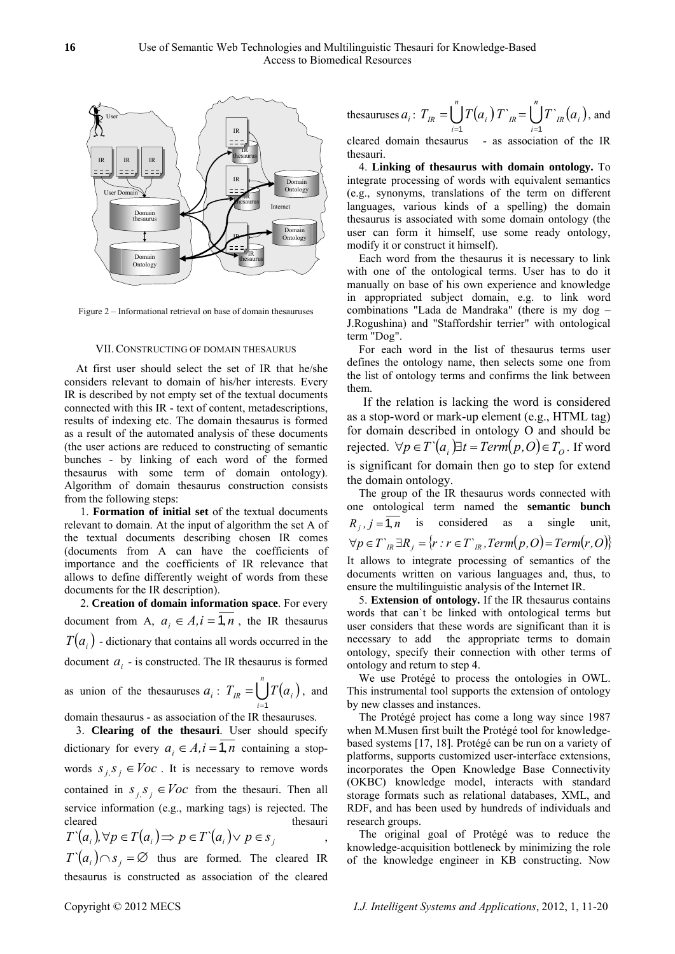

Figure 2 – Informational retrieval on base of domain thesauruses

## VII.CONSTRUCTING OF DOMAIN THESAURUS

At first user should select the set of IR that he/she considers relevant to domain of his/her interests. Every IR is described by not empty set of the textual documents connected with this IR - text of content, metadescriptions, results of indexing etc. The domain thesaurus is formed as a result of the automated analysis of these documents (the user actions are reduced to constructing of semantic bunches - by linking of each word of the formed thesaurus with some term of domain ontology). Algorithm of domain thesaurus construction consists from the following steps:

1. **Formation of initial set** of the textual documents relevant to domain. At the input of algorithm the set A of the textual documents describing chosen IR comes (documents from A can have the coefficients of importance and the coefficients of IR relevance that allows to define differently weight of words from these documents for the IR description).

2. **Creation of domain information space**. For every document from A,  $a_i \in A$ ,  $i = 1, n$ , the IR thesaurus  $T(a_i)$  - dictionary that contains all words occurred in the document  $a_i$  - is constructed. The IR thesaurus is formed as union of the thesauruses  $a_i$ :  $T_{IR} = \bigcup_{i=1}^{n} T(a_i)$ , and domain thesaurus - as association of the IR thesauruses. *i* =1

3. **Clearing of the thesauri**. User should specify dictionary for every  $a_i \in A, i = \overline{1,n}$  containing a stopwords  $S_{i,j}S_{j} \in \text{Voc}$ . It is necessary to remove words contained in  $s_j$ ,  $s_j \in Voc$  from the thesauri. Then all service information (e.g., marking tags) is rejected. The cleared thesauri ,  $T^{\dagger}(a_i) \cap s_j = \emptyset$  thus are formed. The cleared IR thesaurus is constructed as association of the cleared  $T^{\cdot}(a_i), \forall p \in T(a_i) \Longrightarrow p \in T^{\cdot}(a_i) \lor p \in s_j$ 

thesauruses 
$$
a_i
$$
:  $T_{IR} = \bigcup_{i=1}^n T(a_i) T_{IR} \bigcup_{i=1}^n T_{IR}(a_i)$ , and

cleared domain thesaurus - as association of the IR thesauri.

4. **Linking of thesaurus with domain ontology.** To integrate processing of words with equivalent semantics (e.g., synonyms, translations of the term on different languages, various kinds of a spelling) the domain thesaurus is associated with some domain ontology (the user can form it himself, use some ready ontology, modify it or construct it himself).

Each word from the thesaurus it is necessary to link with one of the ontological terms. User has to do it manually on base of his own experience and knowledge in appropriated subject domain, e.g. to link word combinations "Lada de Mandraka" (there is my dog – J.Rogushina) and "Staffordshir terrier" with ontological term "Dog".

For each word in the list of thesaurus terms user defines the ontology name, then selects some one from the list of ontology terms and confirms the link between them.

If the relation is lacking the word is considered as a stop-word or mark-up element (e.g., HTML tag) for domain described in ontology O and should be rejected.  $\forall p \in T \ (a_i) \exists t = Term(p, O) \in T_O$ . If word is significant for domain then go to step for extend the domain ontology.

The group of the IR thesaurus words connected with one ontological term named the **semantic bunch**  $R_i$ ,  $j = 1, n$  is considered as a single unit,  $∀p ∈ T<sub>n</sub> ∃ R<sub>j</sub> = {r : r ∈ T<sub>n</sub>, Term(p, O) = Term(r, O)}$ It allows to integrate processing of semantics of the documents written on various languages and, thus, to ensure the multilinguistic analysis of the Internet IR.

5. **Extension of ontology.** If the IR thesaurus contains words that can`t be linked with ontological terms but user considers that these words are significant than it is necessary to add the appropriate terms to domain ontology, specify their connection with other terms of ontology and return to step 4.

We use Protégé to process the ontologies in OWL. This instrumental tool supports the extension of ontology by new classes and instances.

The Protégé project has come a long way since 1987 when M.Musen first built the Protégé tool for knowledgebased systems [17, 18]. Protégé can be run on a variety of platforms, supports customized user-interface extensions, incorporates the Open Knowledge Base Connectivity (OKBC) knowledge model, interacts with standard storage formats such as relational databases, XML, and RDF, and has been used by hundreds of individuals and research groups.

The original goal of Protégé was to reduce the knowledge-acquisition bottleneck by minimizing the role of the knowledge engineer in KB constructing. Now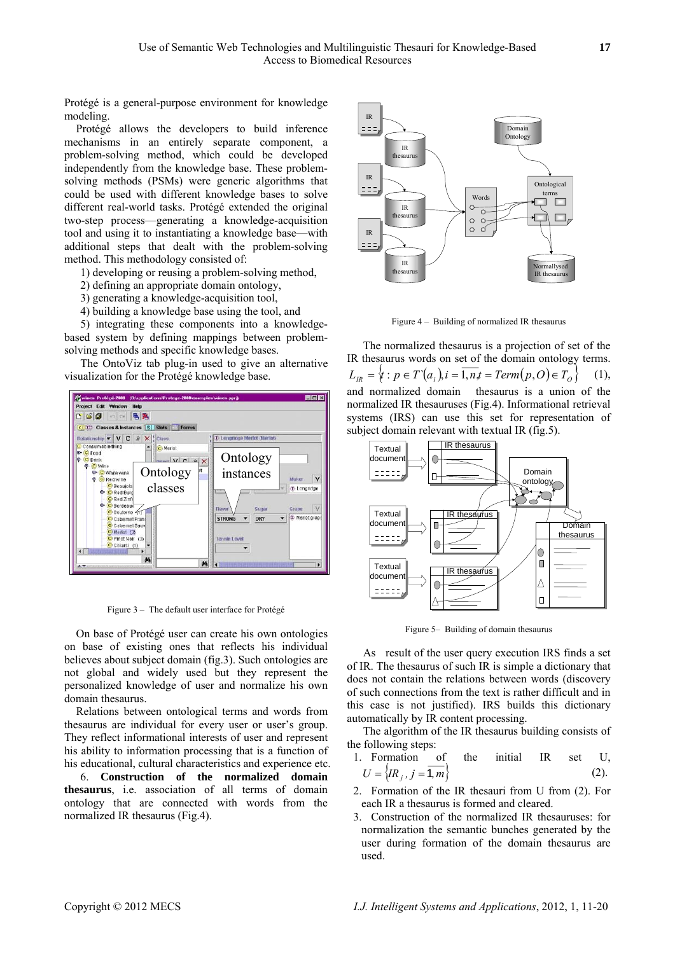Protégé is a general-purpose environment for knowledge modeling.

Protégé allows the developers to build inference mechanisms in an entirely separate component, a problem-solving method, which could be developed independently from the knowledge base. These problemsolving methods (PSMs) were generic algorithms that could be used with different knowledge bases to solve different real-world tasks. Protégé extended the original two-step process—generating a knowledge-acquisition tool and using it to instantiating a knowledge base—with additional steps that dealt with the problem-solving method. This methodology consisted of:

1) developing or reusing a problem-solving method,

- 2) defining an appropriate domain ontology,
- 3) generating a knowledge-acquisition tool,
- 4) building a knowledge base using the tool, and

5) integrating these components into a knowledge-<br>Figure 4 – Building of normalized IR thesaurus based system by defining mappings between problemsolving methods and specific knowledge bases.<br>The normalized thesaurus is a projection of set of the

The OntoViz tab plug-in used to give an alternative visualization for the Protégé knowledge base.



Figure 3 – The default user interface for Protégé

Figure 5– Building of domain thesaurus On base of Protégé user can create his own ontologies on base of existing ones that reflects his individual believes about subject domain (fig.3). Such ontologies are not global and widely used but they represent the personalized knowledge of user and normalize his own domain thesaurus.

Relations between ontological terms and words from automatically by IR content processing. thesaurus are individual for every user or user's group. They reflect informational interests of user and represent his ability to information processing that is a function of his educational, cultural characteristics and experience etc.

**thesaurus**, i.e. association of all terms of domain ontology that are connected with words from the normalized IR thesaurus (Fig.4).



IR thesaurus words on set of the domain ontology terms.  $L_{IR} = \{ t : p \in T(a_i), i = \overline{1, n, t} = Term(p, O) \in T_O \}$  (1), and normalized domain thesaurus is a union of the normalized IR thesauruses (Fig.4). Informational retrieval systems (IRS) can use this set for representation of subject domain relevant with textual IR (fig.5).



As result of the user query execution IRS finds a set of IR. The thesaurus of such IR is simple a dictionary that does not contain the relations between words (discovery of such connections from the text is rather difficult and in this case is not justified). IRS builds this dictionary

The algorithm of the IR thesaurus building consists of the following steps:

- 1. Formation of the initial IR set U,  $J = \{IR_j, j = \overline{1,m}\}\$  (2).<br>6. **Construction of the normalized domain**  $U = \{IR_j, j = \overline{1,m}\}\$ 
	- 2. Formation of the IR thesauri from U from (2). For each IR a thesaurus is formed and cleared.
	- 3. Construction of the normalized IR thesauruses: for normalization the semantic bunches generated by the user during formation of the domain thesaurus are used.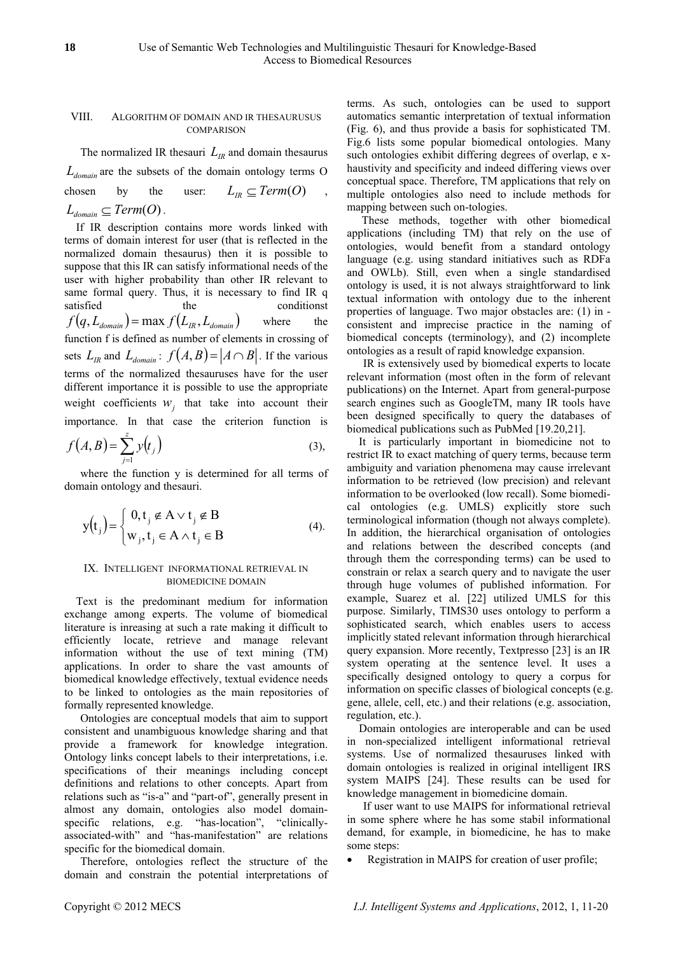# VIII. ALGORITHM OF DOMAIN AND IR THESAURUSUS **COMPARISON**

The normalized IR thesauri  $L_{IR}$  and domain thesaurus  $L_{domain}$  are the subsets of the domain ontology terms O chosen by the user:  $L_{IR} \subseteq Term(O)$ ,  $L_{domain} \subseteq Term(O)$ .

 $f\bigl( q, L_{\text{\tiny{domain}}} \bigr)$  =  $\max f\bigl( L_{\text{\tiny{IR}}} , L_{\text{\tiny{domain}}} \bigr)$ If IR description contains more words linked with terms of domain interest for user (that is reflected in the normalized domain thesaurus) then it is possible to suppose that this IR can satisfy informational needs of the user with higher probability than other IR relevant to same formal query. Thus, it is necessary to find IR q satisfied the conditionst where the function f is defined as number of elements in crossing of sets  $L_{IR}$  and  $L_{domain}$ :  $f(A, B) = |A \cap B|$ . If the various terms of the normalized thesauruses have for the user different importance it is possible to use the appropriate weight coefficients  $w_j$  that take into account their importance. In that case the criterion function is

$$
f(A,B) = \sum_{j=1}^{z} y(t_j)
$$
 (3),

where the function y is determined for all terms of domain ontology and thesauri.

$$
y(tj) = \begin{cases} 0, tj \notin A \vee tj \notin B \\ wj, tj \in A \wedge tj \in B \end{cases}
$$
 (4).

# IX. INTELLIGENT INFORMATIONAL RETRIEVAL IN BIOMEDICINE DOMAIN

Text is the predominant medium for information exchange among experts. The volume of biomedical literature is inreasing at such a rate making it difficult to efficiently locate, retrieve and manage relevant information without the use of text mining (TM) applications. In order to share the vast amounts of biomedical knowledge effectively, textual evidence needs to be linked to ontologies as the main repositories of formally represented knowledge.

Ontologies are conceptual models that aim to support consistent and unambiguous knowledge sharing and that provide a framework for knowledge integration. Ontology links concept labels to their interpretations, i.e. specifications of their meanings including concept definitions and relations to other concepts. Apart from relations such as "is-a" and "part-of", generally present in almost any domain, ontologies also model domainspecific relations, e.g. "has-location", "clinicallyassociated-with" and "has-manifestation" are relations specific for the biomedical domain.

Therefore, ontologies reflect the structure of the domain and constrain the potential interpretations of terms. As such, ontologies can be used to support automatics semantic interpretation of textual information (Fig. 6), and thus provide a basis for sophisticated TM. Fig.6 lists some popular biomedical ontologies. Many such ontologies exhibit differing degrees of overlap, e xhaustivity and specificity and indeed differing views over conceptual space. Therefore, TM applications that rely on multiple ontologies also need to include methods for mapping between such on-tologies.

 These methods, together with other biomedical applications (including TM) that rely on the use of ontologies, would benefit from a standard ontology language (e.g. using standard initiatives such as RDFa and OWLb). Still, even when a single standardised ontology is used, it is not always straightforward to link textual information with ontology due to the inherent properties of language. Two major obstacles are: (1) in consistent and imprecise practice in the naming of biomedical concepts (terminology), and (2) incomplete ontologies as a result of rapid knowledge expansion.

IR is extensively used by biomedical experts to locate relevant information (most often in the form of relevant publications) on the Internet. Apart from general-purpose search engines such as GoogleTM, many IR tools have been designed specifically to query the databases of biomedical publications such as PubMed [19.20,21].

It is particularly important in biomedicine not to restrict IR to exact matching of query terms, because term ambiguity and variation phenomena may cause irrelevant information to be retrieved (low precision) and relevant information to be overlooked (low recall). Some biomedical ontologies (e.g. UMLS) explicitly store such terminological information (though not always complete). In addition, the hierarchical organisation of ontologies and relations between the described concepts (and through them the corresponding terms) can be used to constrain or relax a search query and to navigate the user through huge volumes of published information. For example, Suarez et al. [22] utilized UMLS for this purpose. Similarly, TIMS30 uses ontology to perform a sophisticated search, which enables users to access implicitly stated relevant information through hierarchical query expansion. More recently, Textpresso [23] is an IR system operating at the sentence level. It uses a specifically designed ontology to query a corpus for information on specific classes of biological concepts (e.g. gene, allele, cell, etc.) and their relations (e.g. association, regulation, etc.).

Domain ontologies are interoperable and can be used in non-specialized intelligent informational retrieval systems. Use of normalized thesauruses linked with domain ontologies is realized in original intelligent IRS system MAIPS [24]. These results can be used for knowledge management in biomedicine domain.

If user want to use MAIPS for informational retrieval in some sphere where he has some stabil informational demand, for example, in biomedicine, he has to make some steps:

Registration in MAIPS for creation of user profile;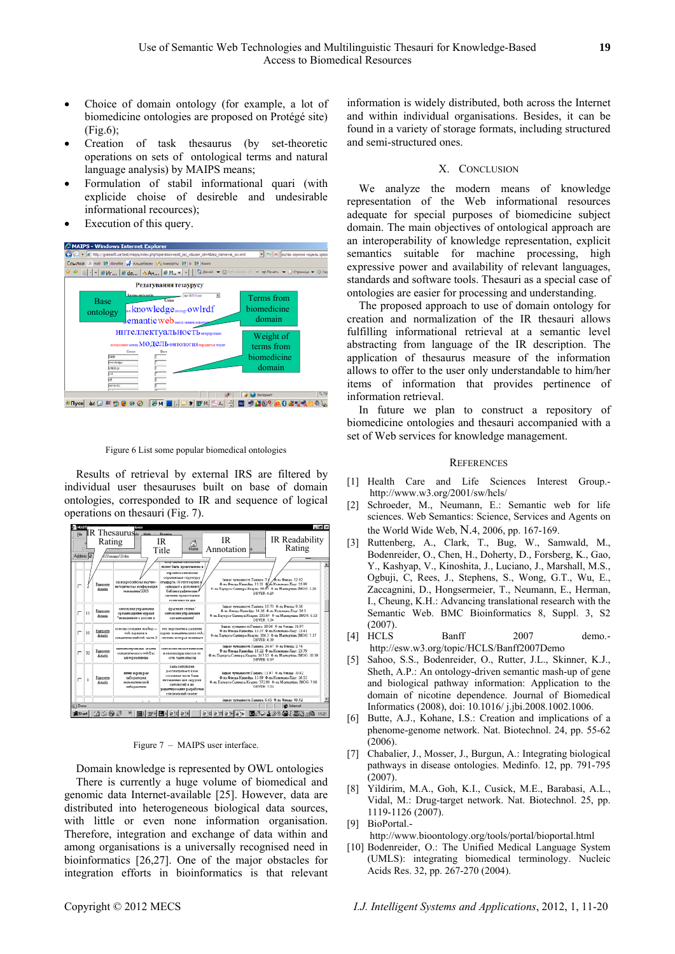- Choice of domain ontology (for example, a lot of biomedicine ontologies are proposed on Protégé site) (Fig.6);
- Creation of task thesaurus (by set-theoretic operations on sets of ontological terms and natural language analysis) by MAIPS means;
- Formulation of stabil informational quari (with explicide choise of desireble and undesirable informational recources);
- Execution of this query.

| C MAIPS - Windows Internet Explorer                                                                                                                                                                                                                                                                                                                                                                                                           |                                                      |
|-----------------------------------------------------------------------------------------------------------------------------------------------------------------------------------------------------------------------------------------------------------------------------------------------------------------------------------------------------------------------------------------------------------------------------------------------|------------------------------------------------------|
| (C) - (2) http://gradsoft.ua/test/maips/index.php?operation=edit_tez_n&user_id=4&tez_name=ai_sw.xml                                                                                                                                                                                                                                                                                                                                           | - 4+ X оцтво корисна нодель зразо                    |
| Ссылки 3 mail 2 danetia - Альдебаран (А) Анекдоты 23 III 23 Книги                                                                                                                                                                                                                                                                                                                                                                             |                                                      |
| $\begin{array}{l} \mathsf{d} \mathsf{c} \in \mathsf{c} \leftarrow \mathsf{d} \mathsf{M}_{\mathsf{f} \ldots} \right[ \mathsf{d} \mathsf{d} \mathsf{d} \ldots \big] \mathsf{d} \mathsf{A} \mathsf{M}_{\mathsf{f} \ldots} \big] \mathsf{d} \mathsf{M}_{\mathsf{f} \ldots} \mathsf{d} \big] = \big[ \big] \big[ \mathsf{d} \mathsf{d} \mathsf{d} \mathsf{d} \mathsf{d} \mathsf{d} \mathsf{d} \mathsf{d} \mathsf{d} \mathsf{d} \mathsf{d} \mathsf$ |                                                      |
| Редагування тезаурусу                                                                                                                                                                                                                                                                                                                                                                                                                         |                                                      |
| iso-19111.ewi<br>Estosa cerazorio<br>Casua<br><b>Base</b><br>ontology<br>Jemantic web                                                                                                                                                                                                                                                                                                                                                         | Terms from<br>biomedicine<br>domain                  |
| <b>ИНТЕЛЛЕКТУАЛЬНОСТЬ</b> интересеризации<br>иследование метод ${\rm MOJ}\mathrm{CJ}\mathrm{L}$ ОНТОЛОГИЯ парадитма теорит<br>Capso<br>2456<br>ro niedpe<br>ortobay                                                                                                                                                                                                                                                                           | Weight of<br>terms from<br>biomedicine<br>domain     |
| <b>MILLIE</b><br>Tyck 30 G B B B B O B A H (D S B M A )<br>$\frac{1}{2}$ $\frac{1}{2}$ $\frac{1}{2}$                                                                                                                                                                                                                                                                                                                                          | <b>t</b> <sub>3</sub> 759<br>個色 <sup>0</sup> 独自選っ UF |

Figure 6 List some popular biomedical ontologies

Results of retrieval by external IRS are filtered by individual user thesauruses built on base of domain ontologies, corresponded to IR and sequence of logical operations on thesauri (Fig. 7).

| MAIIT           |              |                            | lores                                                                   |                                                                                                                                                                                                                                                    |                                                                                                                                                                                              | $= 6x$                                   |
|-----------------|--------------|----------------------------|-------------------------------------------------------------------------|----------------------------------------------------------------------------------------------------------------------------------------------------------------------------------------------------------------------------------------------------|----------------------------------------------------------------------------------------------------------------------------------------------------------------------------------------------|------------------------------------------|
| File            | Address (C)  | Rating                     | <b>IR Thesaurus</b> Hotel Prayers<br>SS'vania/3 htm                     | IR<br>$\frac{1}{\text{Home}}$<br>Title                                                                                                                                                                                                             | <b>IR</b><br>Annotation                                                                                                                                                                      | IR Readability<br>Rating                 |
|                 |              | Biggrams<br>Assanta        | ні когросняєть каучно-<br>нетодическая конференция<br>телематика 2005   | <b>TERRY STATISTICS CONVERTED TO</b><br>может быть представлена в<br><b>CTLO HTCA GMYO BOZER</b><br>отважными стоитету<br>стандарта 10 этот серхис<br><b>JANUSART &amp; ROBORNET</b><br>баблиот офически.<br>системы предоставия<br>ROSSOMOCTH EXA | Гюние туманості Ганінга: 7.4 А-ха Финда: 12.02<br>Ф-ль Флицы-Какондда: 13.21 Ф/ль Колимана-Ліну: 25.98<br>Ф-та Паукреа-Самигра-Колрин: 88.67 Ф-та Мактауніна SMOG: 5.32<br>DEVER 6.29        |                                          |
| п               | 11           | Biggrams<br>Amatiz         | озетовоева утградиния<br>организациями мурмая<br>"неиндимия в россии и  | фрагмант статьи"<br>OMNORDERS VED ASSOCKS<br>оземлениеми                                                                                                                                                                                           | Ізани: тундарсті Ганіять: 10.73 Ф-нь Фледа: 9.56<br>Ф-ла Фленда-Киссейда: 14.26 Ф-ла Колемана-Ліау: 26.1<br>Ф-на Паучрев-Саминра-Каариа: 333.64 Ф-на Мадиотина SMOG: 6.33<br>DEVER: 7.34     |                                          |
| п               | 10           | <b>Biggerous</b><br>Assziz | основы создания mashup --<br>нид-сервисы и<br>самметемелей ник часть 3. | это перспектиза развития.<br>сердис семьитического чеб.<br>система изторая помимает                                                                                                                                                                | Індикс туманності Ганінга: 20.06 Ф-на Финда: 31.97<br>Ф-нь Финда-Каконблы: 13.37 Ф-нь Колемань-Лівуг. 15.41<br>Ф-ла Паукров-Саниера-Кеарла: 206.3 Ф-ла Мактауліна SMOG: 7.17<br>DEVER 6.39   |                                          |
| п               | 32           | Exposure<br>Assetz         | ниненничуальные агенты<br>окватического webDa1<br>ARRESTMENT            | CONVORDERS MOMENT EXTRAVALLED<br>и взранительна киноров то<br>есть такие иноске                                                                                                                                                                    | Гарная тумальності Гамінга: 24.47 Ф. на Фланда: 2.74<br>4-as 4 mua-Kaserias: 18.22 4-as Komman-Rive: 23.79<br>Ф-ль Паучрев-Салхира-Каарла: 347.55 Ф-ль Махидулінь SMOG: 10.38<br>DEVER 9.37  |                                          |
| п               | $\mathbf{1}$ | Bizonome<br>Assatis        | <b>HUSSEN MADAGE DAM</b><br>хаборатория<br>натематической<br>ибернетник | CAMA COMPORDERS<br>рассматривается как<br>составил часть бази<br>MATALIANOGES 2008 24/29/2008<br>состологий и эта<br>редакторования разработам<br>спициоланий серди:                                                                               | Івдане туманності Ганіата: 11.97 Ф. на Фленда: .0.42<br>Ф-ла Финда-Каронйда: 15.89 Ф-ла Коломана-Ліау: 26.53<br>Ф-ль Паучрев-Самира-Каарла: 372.88 Ф-ль Маклаукінь SMOG: 7.06<br>DEVER- 7.52 |                                          |
|                 |              |                            |                                                                         |                                                                                                                                                                                                                                                    | Івани: туманисті Ганінга: 6.65 Ф-на Финда: 48.92                                                                                                                                             |                                          |
| <b>Bil Done</b> |              |                            |                                                                         | " 图(3VM 图A @10 @1M                                                                                                                                                                                                                                 | $1$ $\geq$ 10<br><b>15TM</b>                                                                                                                                                                 | <b>C</b> Internet<br>■※→1※※■→ 高速 画像 1121 |

Figure 7 – MAIPS user interface.

Domain knowledge is represented by OWL ontologies There is currently a huge volume of biomedical and genomic data Internet-available [25]. However, data are distributed into heterogeneous biological data sources, with little or even none information organisation. Therefore, integration and exchange of data within and among organisations is a universally recognised need in bioinformatics [26,27]. One of the major obstacles for integration efforts in bioinformatics is that relevant information is widely distributed, both across the Internet and within individual organisations. Besides, it can be found in a variety of storage formats, including structured and semi-structured ones.

## X. CONCLUSION

We analyze the modern means of knowledge representation of the Web informational resources adequate for special purposes of biomedicine subject domain. The main objectives of ontological approach are an interoperability of knowledge representation, explicit semantics suitable for machine processing, high expressive power and availability of relevant languages, standards and software tools. Thesauri as a special case of ontologies are easier for processing and understanding.

The proposed approach to use of domain ontology for creation and normalization of the IR thesauri allows fulfilling informational retrieval at a semantic level abstracting from language of the IR description. The application of thesaurus measure of the information allows to offer to the user only understandable to him/her items of information that provides pertinence of information retrieval.

In future we plan to construct a repository of biomedicine ontologies and thesauri accompanied with a set of Web services for knowledge management.

#### **REFERENCES**

- [1] Health Care and Life Sciences Interest Group. [http://www.w3.org/2001/sw/hcls/](http://www.w3.org/2001/sw/hcls)
- [2] Schroeder, M., Neumann, E.: Semantic web for life sciences. Web Semantics: Science, Services and Agents on the World Wide Web, N.4, 2006, pp. 167-169.
- [3] Ruttenberg, A., Clark, T., Bug, W., Samwald, M., Bodenreider, O., Chen, H., Doherty, D., Forsberg, K., Gao, Y., Kashyap, V., Kinoshita, J., Luciano, J., Marshall, M.S., Ogbuji, C, Rees, J., Stephens, S., Wong, G.T., Wu, E., Zaccagnini, D., Hongsermeier, T., Neumann, E., Herman, I., Cheung, K.H.: Advancing translational research with the Semantic Web. BMC Bioinformatics 8, Suppl. 3, S2 (2007).
- [4] HCLS Banff 2007 demo. <http://esw.w3.org/topic/HCLS/Banff2007Demo>
- [5] Sahoo, S.S., Bodenreider, O., Rutter, J.L., Skinner, K.J., Sheth, A.P.: An ontology-driven semantic mash-up of gene and biological pathway information: Application to the domain of nicotine dependence. Journal of Biomedical Informatics (2008), doi: 10.1016/ j.jbi.2008.1002.1006.
- [6] Butte, A.J., Kohane, I.S.: Creation and implications of a phenome-genome network. Nat. Biotechnol. 24, pp. 55-62  $(2006)$
- [7] Chabalier, J., Mosser, J., Burgun, A.: Integrating biological pathways in disease ontologies. Medinfo. 12, pp. 791-795 (2007).
- [8] Yildirim, M.A., Goh, K.I., Cusick, M.E., Barabasi, A.L., Vidal, M.: Drug-target network. Nat. Biotechnol. 25, pp. 1119-1126 (2007).
- [9] BioPortal.-

<http://www.bioontology.org/tools/portal/bioportal.html>

[10] Bodenreider, O.: The Unified Medical Language System (UMLS): integrating biomedical terminology. Nucleic Acids Res. 32, pp. 267-270 (2004).